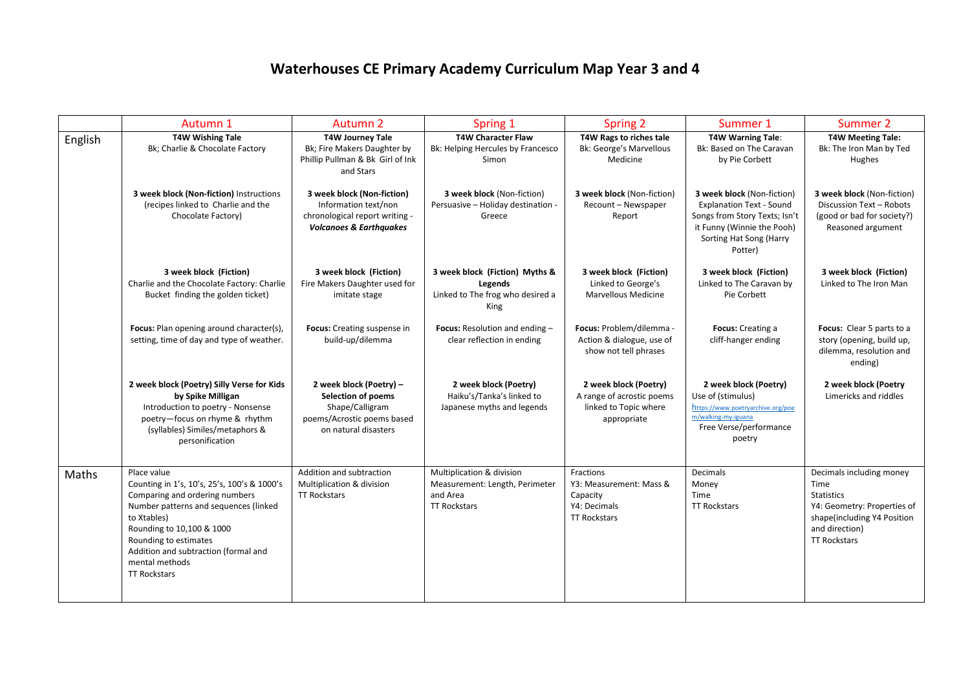## **Waterhouses CE Primary Academy Curriculum Map Year 3 and 4**

|         | Autumn 1                                                                                                                                                                                                                                                                                    | Autumn 2                                                                                                                      | Spring 1                                                                                       | <b>Spring 2</b>                                                                            | Summer 1                                                                                                                                                           | Summer 2                                                                                                                                                     |
|---------|---------------------------------------------------------------------------------------------------------------------------------------------------------------------------------------------------------------------------------------------------------------------------------------------|-------------------------------------------------------------------------------------------------------------------------------|------------------------------------------------------------------------------------------------|--------------------------------------------------------------------------------------------|--------------------------------------------------------------------------------------------------------------------------------------------------------------------|--------------------------------------------------------------------------------------------------------------------------------------------------------------|
| English | <b>T4W Wishing Tale</b><br>Bk; Charlie & Chocolate Factory                                                                                                                                                                                                                                  | <b>T4W Journey Tale</b><br>Bk; Fire Makers Daughter by<br>Phillip Pullman & Bk Girl of Ink<br>and Stars                       | <b>T4W Character Flaw</b><br>Bk: Helping Hercules by Francesco<br>Simon                        | T4W Rags to riches tale<br><b>Bk: George's Marvellous</b><br>Medicine                      | <b>T4W Warning Tale:</b><br>Bk: Based on The Caravan<br>by Pie Corbett                                                                                             | <b>T4W Meeting Tale:</b><br>Bk: The Iron Man by Ted<br>Hughes                                                                                                |
|         | 3 week block (Non-fiction) Instructions<br>(recipes linked to Charlie and the<br>Chocolate Factory)                                                                                                                                                                                         | 3 week block (Non-fiction)<br>Information text/non<br>chronological report writing -<br><b>Volcanoes &amp; Earthquakes</b>    | 3 week block (Non-fiction)<br>Persuasive - Holiday destination -<br>Greece                     | 3 week block (Non-fiction)<br>Recount - Newspaper<br>Report                                | 3 week block (Non-fiction)<br><b>Explanation Text - Sound</b><br>Songs from Story Texts; Isn't<br>it Funny (Winnie the Pooh)<br>Sorting Hat Song (Harry<br>Potter) | 3 week block (Non-fiction)<br>Discussion Text - Robots<br>(good or bad for society?)<br>Reasoned argument                                                    |
|         | 3 week block (Fiction)<br>Charlie and the Chocolate Factory: Charlie<br>Bucket finding the golden ticket)                                                                                                                                                                                   | 3 week block (Fiction)<br>Fire Makers Daughter used for<br>imitate stage                                                      | 3 week block (Fiction) Myths &<br>Legends<br>Linked to The frog who desired a<br>King          | 3 week block (Fiction)<br>Linked to George's<br>Marvellous Medicine                        | 3 week block (Fiction)<br>Linked to The Caravan by<br>Pie Corbett                                                                                                  | 3 week block (Fiction)<br>Linked to The Iron Man                                                                                                             |
|         | Focus: Plan opening around character(s),<br>setting, time of day and type of weather.                                                                                                                                                                                                       | Focus: Creating suspense in<br>build-up/dilemma                                                                               | Focus: Resolution and ending -<br>clear reflection in ending                                   | Focus: Problem/dilemma -<br>Action & dialogue, use of<br>show not tell phrases             | Focus: Creating a<br>cliff-hanger ending                                                                                                                           | Focus: Clear 5 parts to a<br>story (opening, build up,<br>dilemma, resolution and<br>ending)                                                                 |
|         | 2 week block (Poetry) Silly Verse for Kids<br>by Spike Milligan<br>Introduction to poetry - Nonsense<br>poetry-focus on rhyme & rhythm<br>(syllables) Similes/metaphors &<br>personification                                                                                                | 2 week block (Poetry) -<br><b>Selection of poems</b><br>Shape/Calligram<br>poems/Acrostic poems based<br>on natural disasters | 2 week block (Poetry)<br>Haiku's/Tanka's linked to<br>Japanese myths and legends               | 2 week block (Poetry)<br>A range of acrostic poems<br>linked to Topic where<br>appropriate | 2 week block (Poetry)<br>Use of (stimulus)<br>https://www.poetryarchive.org/poe<br>m/walking-my-iguana<br>Free Verse/performance<br>poetry                         | 2 week block (Poetry<br>Limericks and riddles                                                                                                                |
| Maths   | Place value<br>Counting in 1's, 10's, 25's, 100's & 1000's<br>Comparing and ordering numbers<br>Number patterns and sequences (linked<br>to Xtables)<br>Rounding to 10,100 & 1000<br>Rounding to estimates<br>Addition and subtraction (formal and<br>mental methods<br><b>TT Rockstars</b> | Addition and subtraction<br>Multiplication & division<br><b>TT Rockstars</b>                                                  | Multiplication & division<br>Measurement: Length, Perimeter<br>and Area<br><b>TT Rockstars</b> | Fractions<br>Y3: Measurement: Mass &<br>Capacity<br>Y4: Decimals<br><b>TT Rockstars</b>    | <b>Decimals</b><br>Money<br>Time<br><b>TT Rockstars</b>                                                                                                            | Decimals including money<br>Time<br><b>Statistics</b><br>Y4: Geometry: Properties of<br>shape(including Y4 Position<br>and direction)<br><b>TT Rockstars</b> |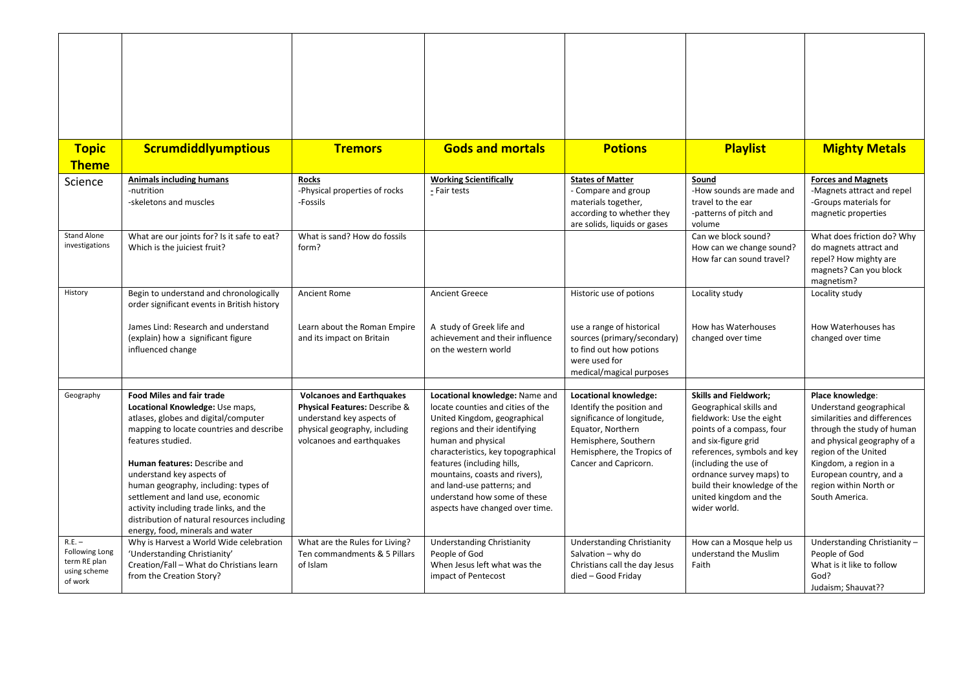| <b>Topic</b>                                                                 | <b>Scrumdiddlyumptious</b>                                                                                                                                                                                                                                                                                                                                                                                                                           | <b>Tremors</b>                                                                                                                                               | <b>Gods and mortals</b>                                                                                                                                                                                                                                                                                                                                           | <b>Potions</b>                                                                                                                                                                       | <b>Playlist</b>                                                                                                                                                                                                                                                                                       | <b>Mighty Metals</b>                                                                                                                                                                                                                                              |
|------------------------------------------------------------------------------|------------------------------------------------------------------------------------------------------------------------------------------------------------------------------------------------------------------------------------------------------------------------------------------------------------------------------------------------------------------------------------------------------------------------------------------------------|--------------------------------------------------------------------------------------------------------------------------------------------------------------|-------------------------------------------------------------------------------------------------------------------------------------------------------------------------------------------------------------------------------------------------------------------------------------------------------------------------------------------------------------------|--------------------------------------------------------------------------------------------------------------------------------------------------------------------------------------|-------------------------------------------------------------------------------------------------------------------------------------------------------------------------------------------------------------------------------------------------------------------------------------------------------|-------------------------------------------------------------------------------------------------------------------------------------------------------------------------------------------------------------------------------------------------------------------|
| <b>Theme</b>                                                                 |                                                                                                                                                                                                                                                                                                                                                                                                                                                      |                                                                                                                                                              |                                                                                                                                                                                                                                                                                                                                                                   |                                                                                                                                                                                      |                                                                                                                                                                                                                                                                                                       |                                                                                                                                                                                                                                                                   |
| Science                                                                      | <b>Animals including humans</b><br>-nutrition<br>-skeletons and muscles                                                                                                                                                                                                                                                                                                                                                                              | <b>Rocks</b><br>-Physical properties of rocks<br>-Fossils                                                                                                    | <b>Working Scientifically</b><br>- Fair tests                                                                                                                                                                                                                                                                                                                     | <b>States of Matter</b><br>- Compare and group<br>materials together,<br>according to whether they<br>are solids, liquids or gases                                                   | Sound<br>-How sounds are made and<br>travel to the ear<br>-patterns of pitch and<br>volume                                                                                                                                                                                                            | <b>Forces and Magnets</b><br>-Magnets attract and repel<br>-Groups materials for<br>magnetic properties                                                                                                                                                           |
| Stand Alone<br>investigations                                                | What are our joints for? Is it safe to eat?<br>Which is the juiciest fruit?                                                                                                                                                                                                                                                                                                                                                                          | What is sand? How do fossils<br>form?                                                                                                                        |                                                                                                                                                                                                                                                                                                                                                                   |                                                                                                                                                                                      | Can we block sound?<br>How can we change sound?<br>How far can sound travel?                                                                                                                                                                                                                          | What does friction do? Why<br>do magnets attract and<br>repel? How mighty are<br>magnets? Can you block<br>magnetism?                                                                                                                                             |
| History                                                                      | Begin to understand and chronologically<br>order significant events in British history                                                                                                                                                                                                                                                                                                                                                               | <b>Ancient Rome</b>                                                                                                                                          | <b>Ancient Greece</b>                                                                                                                                                                                                                                                                                                                                             | Historic use of potions                                                                                                                                                              | Locality study                                                                                                                                                                                                                                                                                        | Locality study                                                                                                                                                                                                                                                    |
|                                                                              | James Lind: Research and understand<br>(explain) how a significant figure<br>influenced change                                                                                                                                                                                                                                                                                                                                                       | Learn about the Roman Empire<br>and its impact on Britain                                                                                                    | A study of Greek life and<br>achievement and their influence<br>on the western world                                                                                                                                                                                                                                                                              | use a range of historical<br>sources (primary/secondary)<br>to find out how potions<br>were used for<br>medical/magical purposes                                                     | How has Waterhouses<br>changed over time                                                                                                                                                                                                                                                              | How Waterhouses has<br>changed over time                                                                                                                                                                                                                          |
|                                                                              |                                                                                                                                                                                                                                                                                                                                                                                                                                                      |                                                                                                                                                              |                                                                                                                                                                                                                                                                                                                                                                   |                                                                                                                                                                                      |                                                                                                                                                                                                                                                                                                       |                                                                                                                                                                                                                                                                   |
| Geography                                                                    | <b>Food Miles and fair trade</b><br>Locational Knowledge: Use maps,<br>atlases, globes and digital/computer<br>mapping to locate countries and describe<br>features studied.<br>Human features: Describe and<br>understand key aspects of<br>human geography, including: types of<br>settlement and land use, economic<br>activity including trade links, and the<br>distribution of natural resources including<br>energy, food, minerals and water | <b>Volcanoes and Earthquakes</b><br>Physical Features: Describe &<br>understand key aspects of<br>physical geography, including<br>volcanoes and earthquakes | Locational knowledge: Name and<br>locate counties and cities of the<br>United Kingdom, geographical<br>regions and their identifying<br>human and physical<br>characteristics, key topographical<br>features (including hills,<br>mountains, coasts and rivers),<br>and land-use patterns; and<br>understand how some of these<br>aspects have changed over time. | Locational knowledge:<br>Identify the position and<br>significance of longitude,<br>Equator, Northern<br>Hemisphere, Southern<br>Hemisphere, the Tropics of<br>Cancer and Capricorn. | <b>Skills and Fieldwork;</b><br>Geographical skills and<br>fieldwork: Use the eight<br>points of a compass, four<br>and six-figure grid<br>references, symbols and key<br>(including the use of<br>ordnance survey maps) to<br>build their knowledge of the<br>united kingdom and the<br>wider world. | Place knowledge:<br>Understand geographical<br>similarities and differences<br>through the study of human<br>and physical geography of a<br>region of the United<br>Kingdom, a region in a<br>European country, and a<br>region within North or<br>South America. |
| $R.E. -$<br><b>Following Long</b><br>term RE plan<br>using scheme<br>of work | Why is Harvest a World Wide celebration<br>'Understanding Christianity'<br>Creation/Fall - What do Christians learn<br>from the Creation Story?                                                                                                                                                                                                                                                                                                      | What are the Rules for Living?<br>Ten commandments & 5 Pillars<br>of Islam                                                                                   | <b>Understanding Christianity</b><br>People of God<br>When Jesus left what was the<br>impact of Pentecost                                                                                                                                                                                                                                                         | <b>Understanding Christianity</b><br>Salvation - why do<br>Christians call the day Jesus<br>died - Good Friday                                                                       | How can a Mosque help us<br>understand the Muslim<br>Faith                                                                                                                                                                                                                                            | Understanding Christianity -<br>People of God<br>What is it like to follow<br>God?<br>Judaism; Shauvat??                                                                                                                                                          |